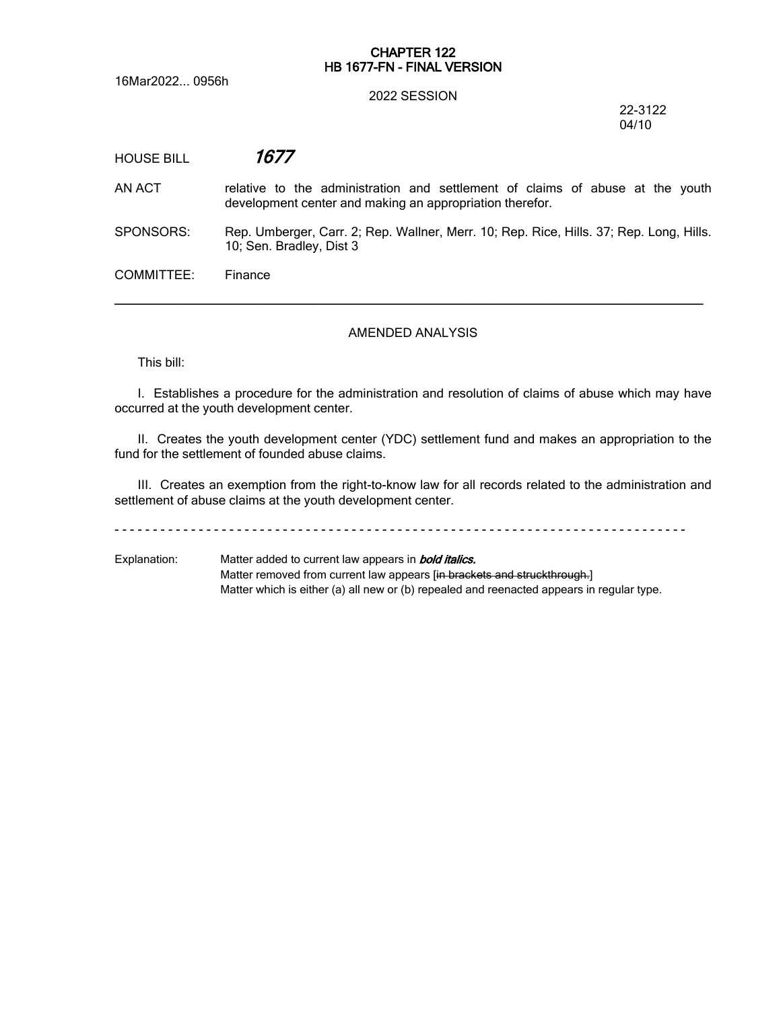## **CHAPTER 122 HB 1677-FN - FINAL VERSION**

16Mar2022... 0956h

## 2022 SESSION

22-3122 04/10

# HOUSE BILL *1677*

AN ACT relative to the administration and settlement of claims of abuse at the youth development center and making an appropriation therefor.

SPONSORS: Rep. Umberger, Carr. 2; Rep. Wallner, Merr. 10; Rep. Rice, Hills. 37; Rep. Long, Hills. 10; Sen. Bradley, Dist 3

COMMITTEE: Finance

## AMENDED ANALYSIS

─────────────────────────────────────────────────────────────────

This bill:

I. Establishes a procedure for the administration and resolution of claims of abuse which may have occurred at the youth development center.

II. Creates the youth development center (YDC) settlement fund and makes an appropriation to the fund for the settlement of founded abuse claims.

III. Creates an exemption from the right-to-know law for all records related to the administration and settlement of abuse claims at the youth development center.

- - - - - - - - - - - - - - - - - - - - - - - - - - - - - - - - - - - - - - - - - - - - - - - - - - - - - - - - - - - - - - - - - - - - - - - - - - -

Explanation: Matter added to current law appears in *bold italics.* Matter removed from current law appears [in brackets and struckthrough.] Matter which is either (a) all new or (b) repealed and reenacted appears in regular type.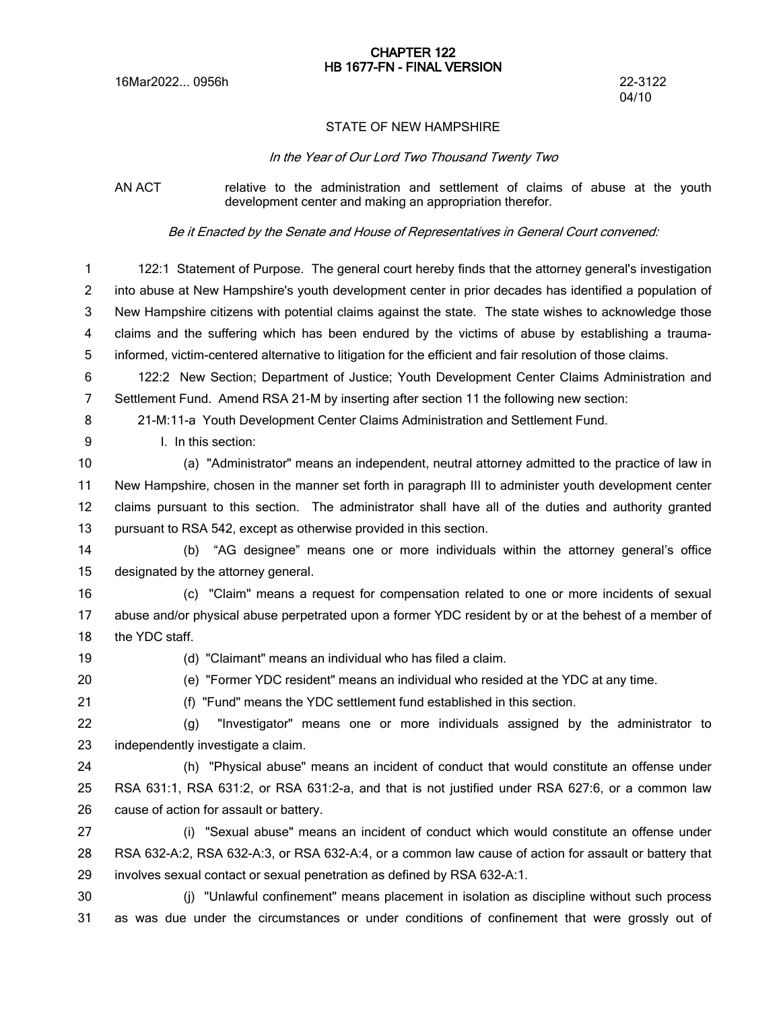16Mar2022... 0956h 22-3122

## **CHAPTER 122 HB 1677-FN - FINAL VERSION**

04/10

## STATE OF NEW HAMPSHIRE

#### *In the Year of Our Lord Two Thousand Twenty Two*

AN ACT relative to the administration and settlement of claims of abuse at the youth development center and making an appropriation therefor.

#### *Be it Enacted by the Senate and House of Representatives in General Court convened:*

122:1 Statement of Purpose. The general court hereby finds that the attorney general's investigation into abuse at New Hampshire's youth development center in prior decades has identified a population of New Hampshire citizens with potential claims against the state. The state wishes to acknowledge those claims and the suffering which has been endured by the victims of abuse by establishing a traumainformed, victim-centered alternative to litigation for the efficient and fair resolution of those claims. 1 2 3 4 5

122:2 New Section; Department of Justice; Youth Development Center Claims Administration and Settlement Fund. Amend RSA 21-M by inserting after section 11 the following new section: 6 7

21-M:11-a Youth Development Center Claims Administration and Settlement Fund.

I. In this section: 9

(a) "Administrator" means an independent, neutral attorney admitted to the practice of law in New Hampshire, chosen in the manner set forth in paragraph III to administer youth development center claims pursuant to this section. The administrator shall have all of the duties and authority granted pursuant to RSA 542, except as otherwise provided in this section. 10 11 12 13

(b) "AG designee" means one or more individuals within the attorney general's office designated by the attorney general. 14 15

(c) "Claim" means a request for compensation related to one or more incidents of sexual abuse and/or physical abuse perpetrated upon a former YDC resident by or at the behest of a member of the YDC staff. 16 17 18

19

8

(d) "Claimant" means an individual who has filed a claim.

20 21 (e) "Former YDC resident" means an individual who resided at the YDC at any time.

(f) "Fund" means the YDC settlement fund established in this section.

(g) "Investigator" means one or more individuals assigned by the administrator to independently investigate a claim. 22 23

(h) "Physical abuse" means an incident of conduct that would constitute an offense under RSA 631:1, RSA 631:2, or RSA 631:2-a, and that is not justified under RSA 627:6, or a common law cause of action for assault or battery. 24 25 26

(i) "Sexual abuse" means an incident of conduct which would constitute an offense under RSA 632-A:2, RSA 632-A:3, or RSA 632-A:4, or a common law cause of action for assault or battery that involves sexual contact or sexual penetration as defined by RSA 632-A:1. 27 28 29

(j) "Unlawful confinement" means placement in isolation as discipline without such process as was due under the circumstances or under conditions of confinement that were grossly out of 30 31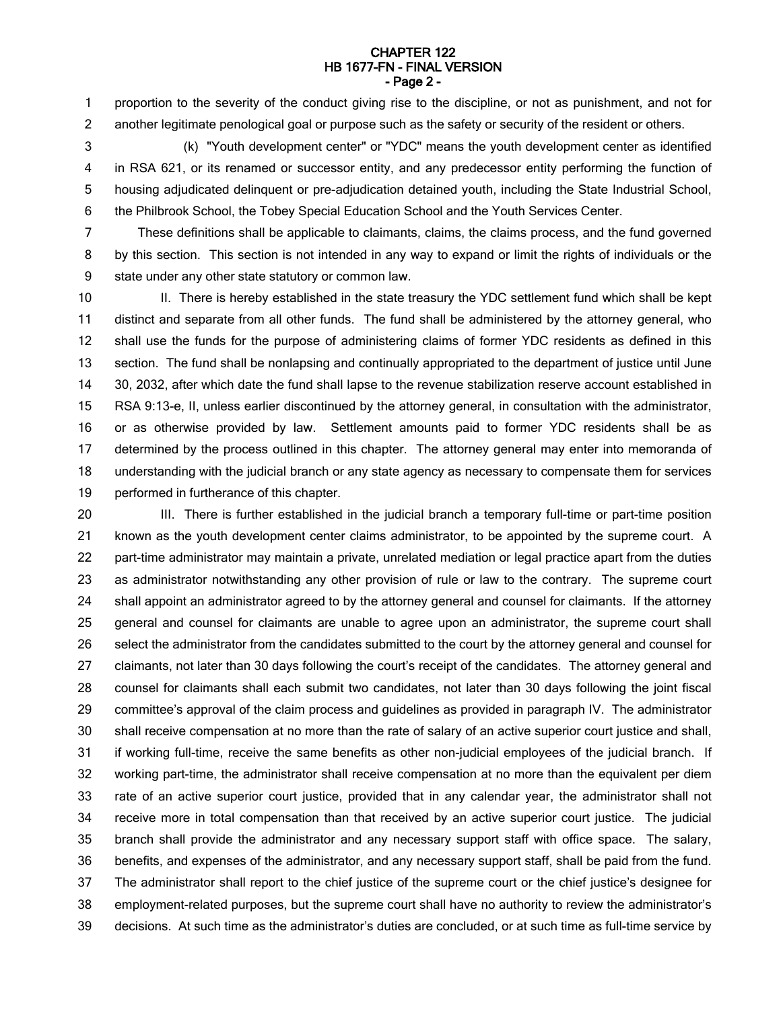## **CHAPTER 122 HB 1677-FN - FINAL VERSION - Page 2 -**

proportion to the severity of the conduct giving rise to the discipline, or not as punishment, and not for another legitimate penological goal or purpose such as the safety or security of the resident or others. 1 2

(k) "Youth development center" or "YDC" means the youth development center as identified in RSA 621, or its renamed or successor entity, and any predecessor entity performing the function of housing adjudicated delinquent or pre-adjudication detained youth, including the State Industrial School, the Philbrook School, the Tobey Special Education School and the Youth Services Center. 3 4 5 6

These definitions shall be applicable to claimants, claims, the claims process, and the fund governed by this section. This section is not intended in any way to expand or limit the rights of individuals or the state under any other state statutory or common law. 7 8 9

II. There is hereby established in the state treasury the YDC settlement fund which shall be kept distinct and separate from all other funds. The fund shall be administered by the attorney general, who shall use the funds for the purpose of administering claims of former YDC residents as defined in this section. The fund shall be nonlapsing and continually appropriated to the department of justice until June 30, 2032, after which date the fund shall lapse to the revenue stabilization reserve account established in RSA 9:13-e, II, unless earlier discontinued by the attorney general, in consultation with the administrator, or as otherwise provided by law. Settlement amounts paid to former YDC residents shall be as determined by the process outlined in this chapter. The attorney general may enter into memoranda of understanding with the judicial branch or any state agency as necessary to compensate them for services performed in furtherance of this chapter. 10 11 12 13 14 15 16 17 18 19

III. There is further established in the judicial branch a temporary full-time or part-time position known as the youth development center claims administrator, to be appointed by the supreme court. A part-time administrator may maintain a private, unrelated mediation or legal practice apart from the duties as administrator notwithstanding any other provision of rule or law to the contrary. The supreme court shall appoint an administrator agreed to by the attorney general and counsel for claimants. If the attorney general and counsel for claimants are unable to agree upon an administrator, the supreme court shall select the administrator from the candidates submitted to the court by the attorney general and counsel for claimants, not later than 30 days following the court's receipt of the candidates. The attorney general and counsel for claimants shall each submit two candidates, not later than 30 days following the joint fiscal committee's approval of the claim process and guidelines as provided in paragraph IV. The administrator shall receive compensation at no more than the rate of salary of an active superior court justice and shall, if working full-time, receive the same benefits as other non-judicial employees of the judicial branch. If working part-time, the administrator shall receive compensation at no more than the equivalent per diem rate of an active superior court justice, provided that in any calendar year, the administrator shall not receive more in total compensation than that received by an active superior court justice. The judicial branch shall provide the administrator and any necessary support staff with office space. The salary, benefits, and expenses of the administrator, and any necessary support staff, shall be paid from the fund. The administrator shall report to the chief justice of the supreme court or the chief justice's designee for employment-related purposes, but the supreme court shall have no authority to review the administrator's decisions. At such time as the administrator's duties are concluded, or at such time as full-time service by 20 21 22 23 24 25 26 27 28 29 30 31 32 33 34 35 36 37 38 39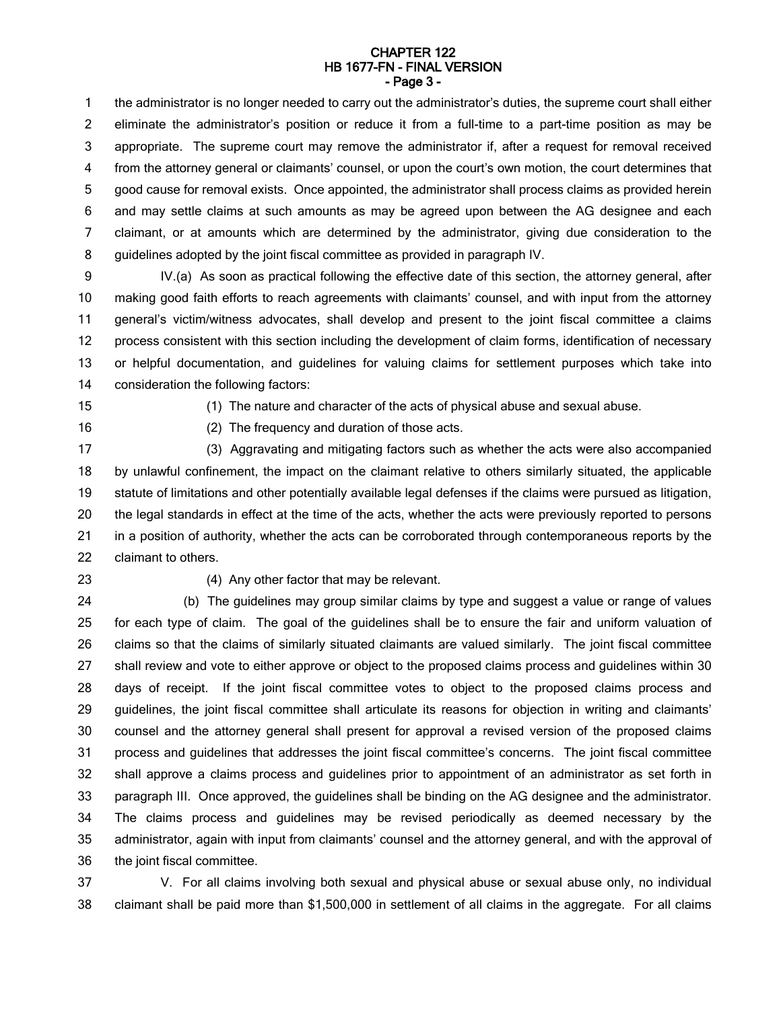## **CHAPTER 122 HB 1677-FN - FINAL VERSION - Page 3 -**

the administrator is no longer needed to carry out the administrator's duties, the supreme court shall either eliminate the administrator's position or reduce it from a full-time to a part-time position as may be appropriate. The supreme court may remove the administrator if, after a request for removal received from the attorney general or claimants' counsel, or upon the court's own motion, the court determines that good cause for removal exists. Once appointed, the administrator shall process claims as provided herein and may settle claims at such amounts as may be agreed upon between the AG designee and each claimant, or at amounts which are determined by the administrator, giving due consideration to the guidelines adopted by the joint fiscal committee as provided in paragraph IV. 1 2 3 4 5 6 7 8

IV.(a) As soon as practical following the effective date of this section, the attorney general, after making good faith efforts to reach agreements with claimants' counsel, and with input from the attorney general's victim/witness advocates, shall develop and present to the joint fiscal committee a claims process consistent with this section including the development of claim forms, identification of necessary or helpful documentation, and guidelines for valuing claims for settlement purposes which take into consideration the following factors: 9 10 11 12 13 14

15

(1) The nature and character of the acts of physical abuse and sexual abuse.

16

(2) The frequency and duration of those acts.

(3) Aggravating and mitigating factors such as whether the acts were also accompanied by unlawful confinement, the impact on the claimant relative to others similarly situated, the applicable statute of limitations and other potentially available legal defenses if the claims were pursued as litigation, the legal standards in effect at the time of the acts, whether the acts were previously reported to persons in a position of authority, whether the acts can be corroborated through contemporaneous reports by the claimant to others. 17 18 19 20 21 22

23

(4) Any other factor that may be relevant.

(b) The guidelines may group similar claims by type and suggest a value or range of values for each type of claim. The goal of the guidelines shall be to ensure the fair and uniform valuation of claims so that the claims of similarly situated claimants are valued similarly. The joint fiscal committee shall review and vote to either approve or object to the proposed claims process and guidelines within 30 days of receipt. If the joint fiscal committee votes to object to the proposed claims process and guidelines, the joint fiscal committee shall articulate its reasons for objection in writing and claimants' counsel and the attorney general shall present for approval a revised version of the proposed claims process and guidelines that addresses the joint fiscal committee's concerns. The joint fiscal committee shall approve a claims process and guidelines prior to appointment of an administrator as set forth in paragraph III. Once approved, the guidelines shall be binding on the AG designee and the administrator. The claims process and guidelines may be revised periodically as deemed necessary by the administrator, again with input from claimants' counsel and the attorney general, and with the approval of the joint fiscal committee. 24 25 26 27 28 29 30 31 32 33 34 35 36

V. For all claims involving both sexual and physical abuse or sexual abuse only, no individual claimant shall be paid more than \$1,500,000 in settlement of all claims in the aggregate. For all claims 37 38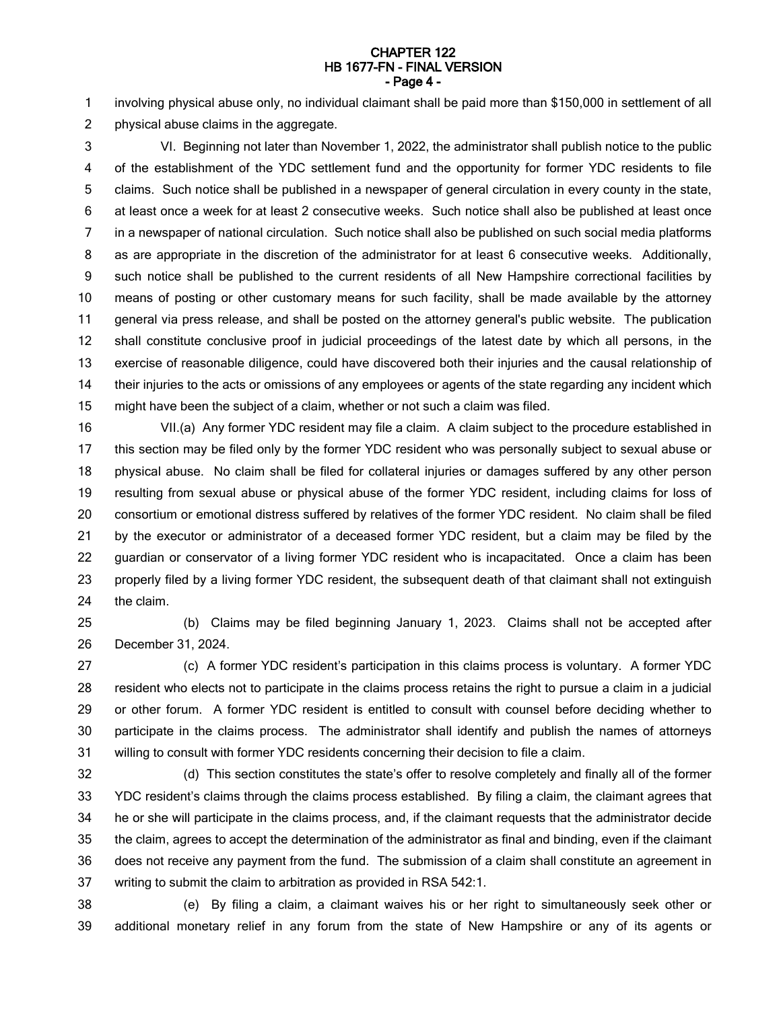## **CHAPTER 122 HB 1677-FN - FINAL VERSION - Page 4 -**

involving physical abuse only, no individual claimant shall be paid more than \$150,000 in settlement of all physical abuse claims in the aggregate. 1 2

VI. Beginning not later than November 1, 2022, the administrator shall publish notice to the public of the establishment of the YDC settlement fund and the opportunity for former YDC residents to file claims. Such notice shall be published in a newspaper of general circulation in every county in the state, at least once a week for at least 2 consecutive weeks. Such notice shall also be published at least once in a newspaper of national circulation. Such notice shall also be published on such social media platforms as are appropriate in the discretion of the administrator for at least 6 consecutive weeks. Additionally, such notice shall be published to the current residents of all New Hampshire correctional facilities by means of posting or other customary means for such facility, shall be made available by the attorney general via press release, and shall be posted on the attorney general's public website. The publication shall constitute conclusive proof in judicial proceedings of the latest date by which all persons, in the exercise of reasonable diligence, could have discovered both their injuries and the causal relationship of their injuries to the acts or omissions of any employees or agents of the state regarding any incident which might have been the subject of a claim, whether or not such a claim was filed. 3 4 5 6 7 8 9 10 11 12 13 14 15

VII.(a) Any former YDC resident may file a claim. A claim subject to the procedure established in this section may be filed only by the former YDC resident who was personally subject to sexual abuse or physical abuse. No claim shall be filed for collateral injuries or damages suffered by any other person resulting from sexual abuse or physical abuse of the former YDC resident, including claims for loss of consortium or emotional distress suffered by relatives of the former YDC resident. No claim shall be filed by the executor or administrator of a deceased former YDC resident, but a claim may be filed by the guardian or conservator of a living former YDC resident who is incapacitated. Once a claim has been properly filed by a living former YDC resident, the subsequent death of that claimant shall not extinguish the claim. 16 17 18 19 20 21 22 23 24

(b) Claims may be filed beginning January 1, 2023. Claims shall not be accepted after December 31, 2024. 25 26

(c) A former YDC resident's participation in this claims process is voluntary. A former YDC resident who elects not to participate in the claims process retains the right to pursue a claim in a judicial or other forum. A former YDC resident is entitled to consult with counsel before deciding whether to participate in the claims process. The administrator shall identify and publish the names of attorneys willing to consult with former YDC residents concerning their decision to file a claim. 27 28 29 30 31

(d) This section constitutes the state's offer to resolve completely and finally all of the former YDC resident's claims through the claims process established. By filing a claim, the claimant agrees that he or she will participate in the claims process, and, if the claimant requests that the administrator decide the claim, agrees to accept the determination of the administrator as final and binding, even if the claimant does not receive any payment from the fund. The submission of a claim shall constitute an agreement in writing to submit the claim to arbitration as provided in RSA 542:1. 32 33 34 35 36 37

(e) By filing a claim, a claimant waives his or her right to simultaneously seek other or additional monetary relief in any forum from the state of New Hampshire or any of its agents or 38 39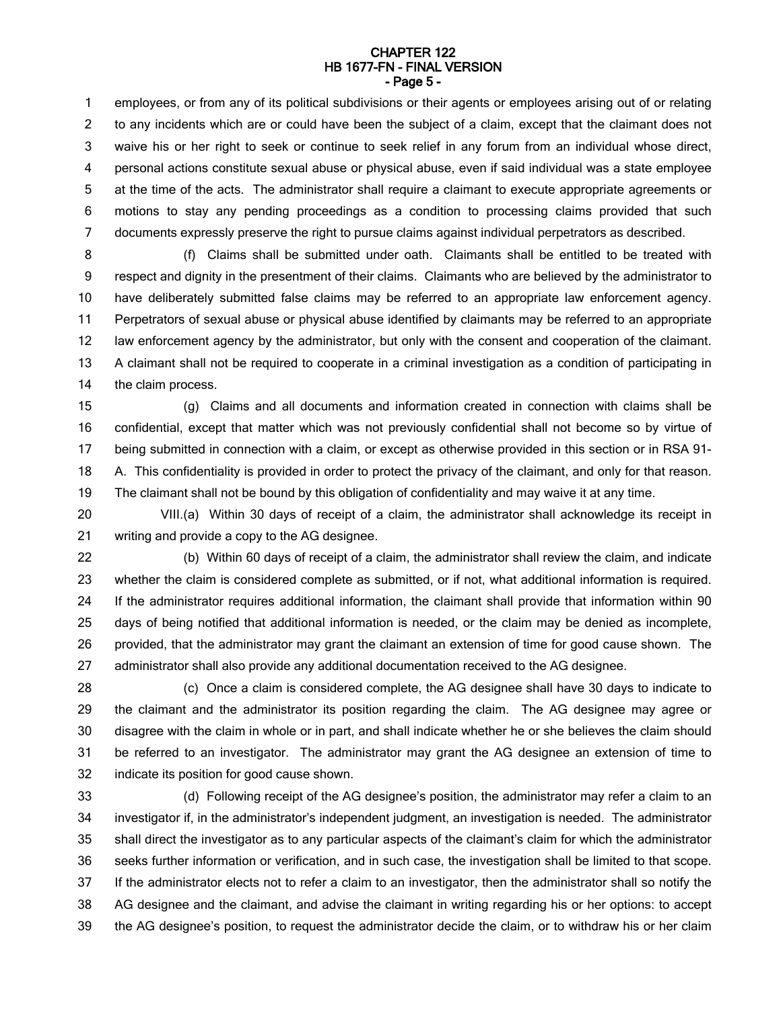#### **CHAPTER 122 HB 1677-FN - FINAL VERSION - Page 5 -**

employees, or from any of its political subdivisions or their agents or employees arising out of or relating to any incidents which are or could have been the subject of a claim, except that the claimant does not waive his or her right to seek or continue to seek relief in any forum from an individual whose direct, personal actions constitute sexual abuse or physical abuse, even if said individual was a state employee at the time of the acts. The administrator shall require a claimant to execute appropriate agreements or motions to stay any pending proceedings as a condition to processing claims provided that such documents expressly preserve the right to pursue claims against individual perpetrators as described. 1 2 3 4 5 6 7

(f) Claims shall be submitted under oath. Claimants shall be entitled to be treated with respect and dignity in the presentment of their claims. Claimants who are believed by the administrator to have deliberately submitted false claims may be referred to an appropriate law enforcement agency. Perpetrators of sexual abuse or physical abuse identified by claimants may be referred to an appropriate law enforcement agency by the administrator, but only with the consent and cooperation of the claimant. A claimant shall not be required to cooperate in a criminal investigation as a condition of participating in the claim process. 8 9 10 11 12 13 14

(g) Claims and all documents and information created in connection with claims shall be confidential, except that matter which was not previously confidential shall not become so by virtue of being submitted in connection with a claim, or except as otherwise provided in this section or in RSA 91- A. This confidentiality is provided in order to protect the privacy of the claimant, and only for that reason. The claimant shall not be bound by this obligation of confidentiality and may waive it at any time. 15 16 17 18 19

VIII.(a) Within 30 days of receipt of a claim, the administrator shall acknowledge its receipt in writing and provide a copy to the AG designee. 20 21

(b) Within 60 days of receipt of a claim, the administrator shall review the claim, and indicate whether the claim is considered complete as submitted, or if not, what additional information is required. If the administrator requires additional information, the claimant shall provide that information within 90 days of being notified that additional information is needed, or the claim may be denied as incomplete, provided, that the administrator may grant the claimant an extension of time for good cause shown. The administrator shall also provide any additional documentation received to the AG designee. 22 23 24 25 26 27

(c) Once a claim is considered complete, the AG designee shall have 30 days to indicate to the claimant and the administrator its position regarding the claim. The AG designee may agree or disagree with the claim in whole or in part, and shall indicate whether he or she believes the claim should be referred to an investigator. The administrator may grant the AG designee an extension of time to indicate its position for good cause shown. 28 29 30 31 32

(d) Following receipt of the AG designee's position, the administrator may refer a claim to an investigator if, in the administrator's independent judgment, an investigation is needed. The administrator shall direct the investigator as to any particular aspects of the claimant's claim for which the administrator seeks further information or verification, and in such case, the investigation shall be limited to that scope. If the administrator elects not to refer a claim to an investigator, then the administrator shall so notify the AG designee and the claimant, and advise the claimant in writing regarding his or her options: to accept the AG designee's position, to request the administrator decide the claim, or to withdraw his or her claim 33 34 35 36 37 38 39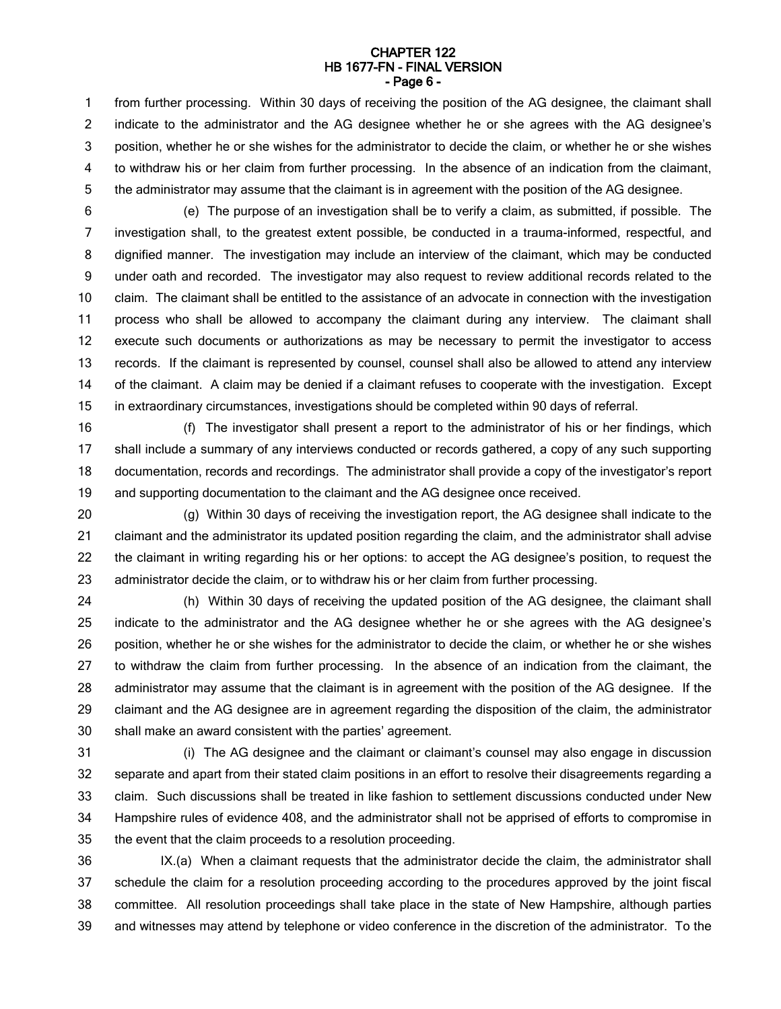#### **CHAPTER 122 HB 1677-FN - FINAL VERSION - Page 6 -**

from further processing. Within 30 days of receiving the position of the AG designee, the claimant shall indicate to the administrator and the AG designee whether he or she agrees with the AG designee's position, whether he or she wishes for the administrator to decide the claim, or whether he or she wishes to withdraw his or her claim from further processing. In the absence of an indication from the claimant, the administrator may assume that the claimant is in agreement with the position of the AG designee. 1 2 3 4 5

(e) The purpose of an investigation shall be to verify a claim, as submitted, if possible. The investigation shall, to the greatest extent possible, be conducted in a trauma-informed, respectful, and dignified manner. The investigation may include an interview of the claimant, which may be conducted under oath and recorded. The investigator may also request to review additional records related to the claim. The claimant shall be entitled to the assistance of an advocate in connection with the investigation process who shall be allowed to accompany the claimant during any interview. The claimant shall execute such documents or authorizations as may be necessary to permit the investigator to access records. If the claimant is represented by counsel, counsel shall also be allowed to attend any interview of the claimant. A claim may be denied if a claimant refuses to cooperate with the investigation. Except in extraordinary circumstances, investigations should be completed within 90 days of referral. 6 7 8 9 10 11 12 13 14 15

(f) The investigator shall present a report to the administrator of his or her findings, which shall include a summary of any interviews conducted or records gathered, a copy of any such supporting documentation, records and recordings. The administrator shall provide a copy of the investigator's report and supporting documentation to the claimant and the AG designee once received. 16 17 18 19

(g) Within 30 days of receiving the investigation report, the AG designee shall indicate to the claimant and the administrator its updated position regarding the claim, and the administrator shall advise the claimant in writing regarding his or her options: to accept the AG designee's position, to request the administrator decide the claim, or to withdraw his or her claim from further processing. 20 21 22 23

(h) Within 30 days of receiving the updated position of the AG designee, the claimant shall indicate to the administrator and the AG designee whether he or she agrees with the AG designee's position, whether he or she wishes for the administrator to decide the claim, or whether he or she wishes to withdraw the claim from further processing. In the absence of an indication from the claimant, the administrator may assume that the claimant is in agreement with the position of the AG designee. If the claimant and the AG designee are in agreement regarding the disposition of the claim, the administrator shall make an award consistent with the parties' agreement. 24 25 26 27 28 29 30

(i) The AG designee and the claimant or claimant's counsel may also engage in discussion separate and apart from their stated claim positions in an effort to resolve their disagreements regarding a claim. Such discussions shall be treated in like fashion to settlement discussions conducted under New Hampshire rules of evidence 408, and the administrator shall not be apprised of efforts to compromise in the event that the claim proceeds to a resolution proceeding. 31 32 33 34 35

IX.(a) When a claimant requests that the administrator decide the claim, the administrator shall schedule the claim for a resolution proceeding according to the procedures approved by the joint fiscal committee. All resolution proceedings shall take place in the state of New Hampshire, although parties and witnesses may attend by telephone or video conference in the discretion of the administrator. To the 36 37 38 39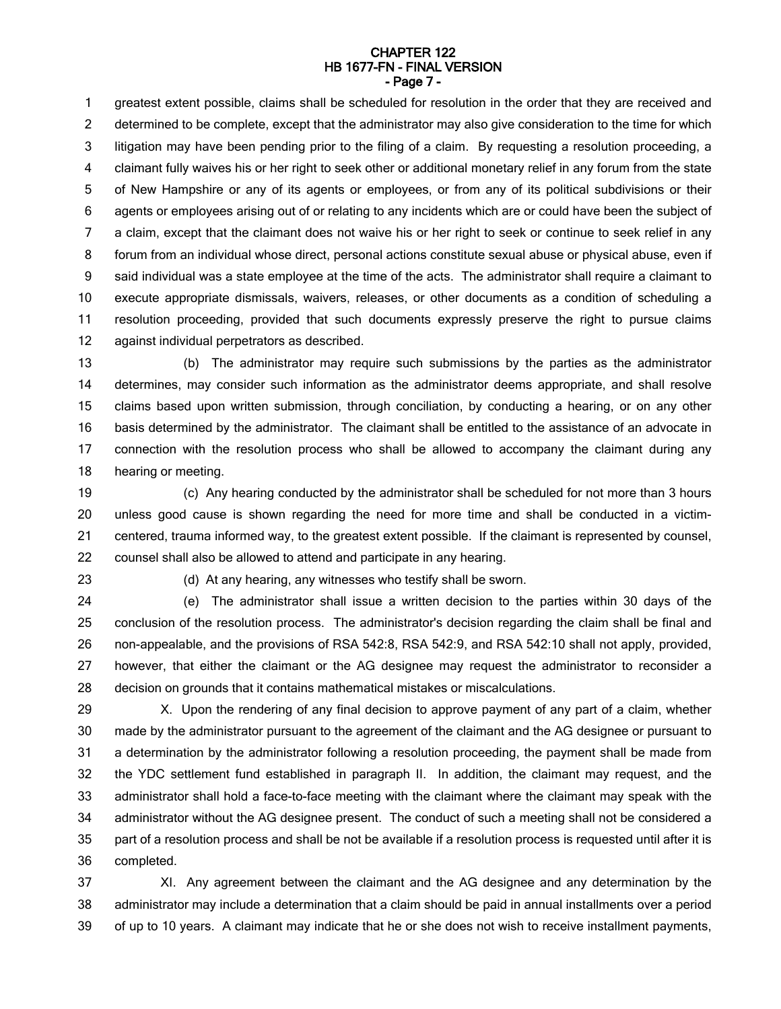#### **CHAPTER 122 HB 1677-FN - FINAL VERSION - Page 7 -**

greatest extent possible, claims shall be scheduled for resolution in the order that they are received and determined to be complete, except that the administrator may also give consideration to the time for which litigation may have been pending prior to the filing of a claim. By requesting a resolution proceeding, a claimant fully waives his or her right to seek other or additional monetary relief in any forum from the state of New Hampshire or any of its agents or employees, or from any of its political subdivisions or their agents or employees arising out of or relating to any incidents which are or could have been the subject of a claim, except that the claimant does not waive his or her right to seek or continue to seek relief in any forum from an individual whose direct, personal actions constitute sexual abuse or physical abuse, even if said individual was a state employee at the time of the acts. The administrator shall require a claimant to execute appropriate dismissals, waivers, releases, or other documents as a condition of scheduling a resolution proceeding, provided that such documents expressly preserve the right to pursue claims against individual perpetrators as described. 1 2 3 4 5 6 7 8 9 10 11 12

(b) The administrator may require such submissions by the parties as the administrator determines, may consider such information as the administrator deems appropriate, and shall resolve claims based upon written submission, through conciliation, by conducting a hearing, or on any other basis determined by the administrator. The claimant shall be entitled to the assistance of an advocate in connection with the resolution process who shall be allowed to accompany the claimant during any hearing or meeting. 13 14 15 16 17 18

(c) Any hearing conducted by the administrator shall be scheduled for not more than 3 hours unless good cause is shown regarding the need for more time and shall be conducted in a victimcentered, trauma informed way, to the greatest extent possible. If the claimant is represented by counsel, counsel shall also be allowed to attend and participate in any hearing. 19 20 21 22

23

(d) At any hearing, any witnesses who testify shall be sworn.

(e) The administrator shall issue a written decision to the parties within 30 days of the conclusion of the resolution process. The administrator's decision regarding the claim shall be final and non-appealable, and the provisions of RSA 542:8, RSA 542:9, and RSA 542:10 shall not apply, provided, however, that either the claimant or the AG designee may request the administrator to reconsider a decision on grounds that it contains mathematical mistakes or miscalculations. 24 25 26 27 28

X. Upon the rendering of any final decision to approve payment of any part of a claim, whether made by the administrator pursuant to the agreement of the claimant and the AG designee or pursuant to a determination by the administrator following a resolution proceeding, the payment shall be made from the YDC settlement fund established in paragraph II. In addition, the claimant may request, and the administrator shall hold a face-to-face meeting with the claimant where the claimant may speak with the administrator without the AG designee present. The conduct of such a meeting shall not be considered a part of a resolution process and shall be not be available if a resolution process is requested until after it is completed. 29 30 31 32 33 34 35 36

XI. Any agreement between the claimant and the AG designee and any determination by the administrator may include a determination that a claim should be paid in annual installments over a period of up to 10 years. A claimant may indicate that he or she does not wish to receive installment payments, 37 38 39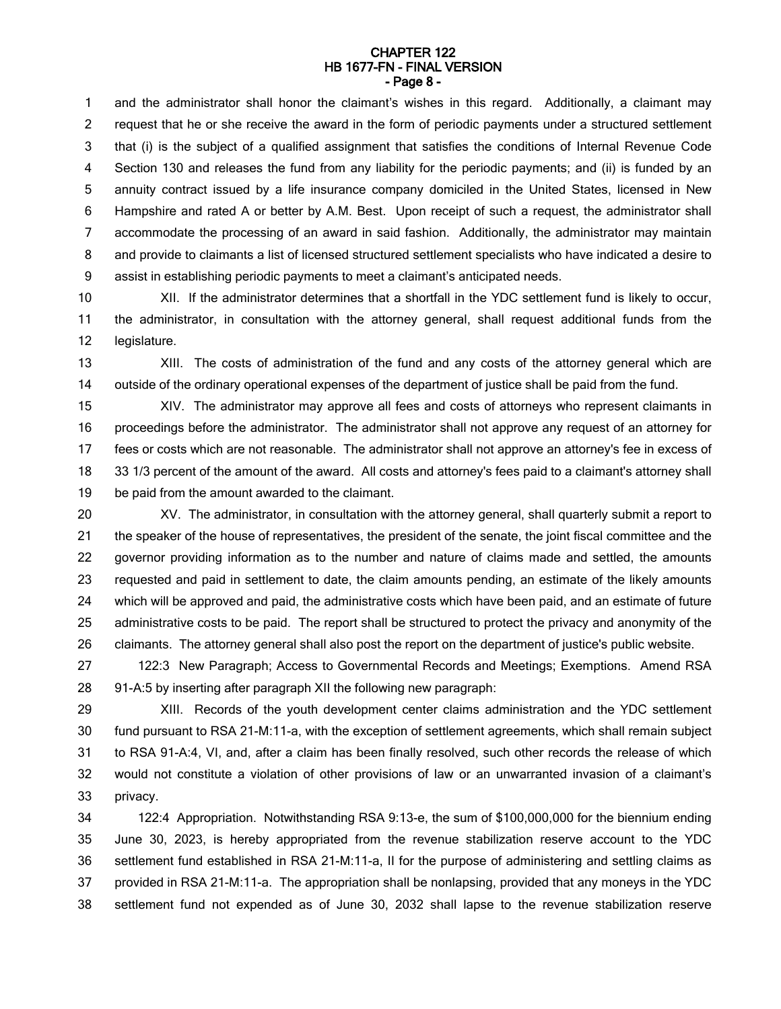#### **CHAPTER 122 HB 1677-FN - FINAL VERSION - Page 8 -**

and the administrator shall honor the claimant's wishes in this regard. Additionally, a claimant may request that he or she receive the award in the form of periodic payments under a structured settlement that (i) is the subject of a qualified assignment that satisfies the conditions of Internal Revenue Code Section 130 and releases the fund from any liability for the periodic payments; and (ii) is funded by an annuity contract issued by a life insurance company domiciled in the United States, licensed in New Hampshire and rated A or better by A.M. Best. Upon receipt of such a request, the administrator shall accommodate the processing of an award in said fashion. Additionally, the administrator may maintain and provide to claimants a list of licensed structured settlement specialists who have indicated a desire to assist in establishing periodic payments to meet a claimant's anticipated needs. 1 2 3 4 5 6 7 8 9

XII. If the administrator determines that a shortfall in the YDC settlement fund is likely to occur, the administrator, in consultation with the attorney general, shall request additional funds from the legislature. 10 11 12

XIII. The costs of administration of the fund and any costs of the attorney general which are outside of the ordinary operational expenses of the department of justice shall be paid from the fund. 13 14

XIV. The administrator may approve all fees and costs of attorneys who represent claimants in proceedings before the administrator. The administrator shall not approve any request of an attorney for fees or costs which are not reasonable. The administrator shall not approve an attorney's fee in excess of 33 1/3 percent of the amount of the award. All costs and attorney's fees paid to a claimant's attorney shall be paid from the amount awarded to the claimant. 15 16 17 18 19

XV. The administrator, in consultation with the attorney general, shall quarterly submit a report to the speaker of the house of representatives, the president of the senate, the joint fiscal committee and the governor providing information as to the number and nature of claims made and settled, the amounts requested and paid in settlement to date, the claim amounts pending, an estimate of the likely amounts which will be approved and paid, the administrative costs which have been paid, and an estimate of future administrative costs to be paid. The report shall be structured to protect the privacy and anonymity of the claimants. The attorney general shall also post the report on the department of justice's public website. 20 21 22 23 24 25 26

122:3 New Paragraph; Access to Governmental Records and Meetings; Exemptions. Amend RSA 91-A:5 by inserting after paragraph XII the following new paragraph: 27 28

XIII. Records of the youth development center claims administration and the YDC settlement fund pursuant to RSA 21-M:11-a, with the exception of settlement agreements, which shall remain subject to RSA 91-A:4, VI, and, after a claim has been finally resolved, such other records the release of which would not constitute a violation of other provisions of law or an unwarranted invasion of a claimant's privacy. 29 30 31 32 33

122:4 Appropriation. Notwithstanding RSA 9:13-e, the sum of \$100,000,000 for the biennium ending June 30, 2023, is hereby appropriated from the revenue stabilization reserve account to the YDC settlement fund established in RSA 21-M:11-a, II for the purpose of administering and settling claims as provided in RSA 21-M:11-a. The appropriation shall be nonlapsing, provided that any moneys in the YDC settlement fund not expended as of June 30, 2032 shall lapse to the revenue stabilization reserve 34 35 36 37 38